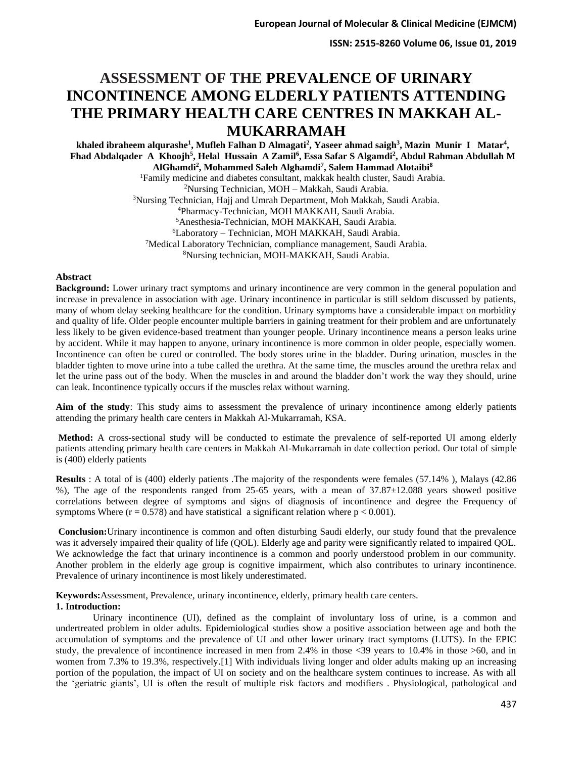# **ASSESSMENT OF THE PREVALENCE OF URINARY INCONTINENCE AMONG ELDERLY PATIENTS ATTENDING THE PRIMARY HEALTH CARE CENTRES IN MAKKAH AL-MUKARRAMAH**

**khaled ibraheem alqurashe<sup>1</sup> , Mufleh Falhan D Almagati<sup>2</sup> , Yaseer ahmad saigh<sup>3</sup> , Mazin Munir I Matar<sup>4</sup> , Fhad Abdalqader A Khoojh<sup>5</sup> , Helal Hussain A Zamil<sup>6</sup> , Essa Safar S Algamdi<sup>2</sup> , Abdul Rahman Abdullah M AlGhamdi<sup>2</sup> , Mohammed Saleh Alghamdi<sup>7</sup> , Salem Hammad Alotaibi<sup>8</sup>**

> Family medicine and diabetes consultant, makkak health cluster, Saudi Arabia. Nursing Technician, MOH – Makkah, Saudi Arabia. Nursing Technician, Hajj and Umrah Department, Moh Makkah, Saudi Arabia. Pharmacy-Technician, MOH MAKKAH, Saudi Arabia. Anesthesia-Technician, MOH MAKKAH, Saudi Arabia. Laboratory – Technician, MOH MAKKAH, Saudi Arabia. Medical Laboratory Technician, compliance management, Saudi Arabia. Nursing technician, MOH-MAKKAH, Saudi Arabia.

#### **Abstract**

**Background:** Lower urinary tract symptoms and urinary incontinence are very common in the general population and increase in prevalence in association with age. Urinary incontinence in particular is still seldom discussed by patients, many of whom delay seeking healthcare for the condition. Urinary symptoms have a considerable impact on morbidity and quality of life. Older people encounter multiple barriers in gaining treatment for their problem and are unfortunately less likely to be given evidence-based treatment than younger people. Urinary incontinence means a person leaks urine by accident. While it may happen to anyone, urinary incontinence is more common in older people, especially women. Incontinence can often be cured or controlled. The body stores urine in the bladder. During urination, muscles in the bladder tighten to move urine into a tube called the urethra. At the same time, the muscles around the urethra relax and let the urine pass out of the body. When the muscles in and around the bladder don't work the way they should, urine can leak. Incontinence typically occurs if the muscles relax without warning.

**Aim of the study**: This study aims to assessment the prevalence of urinary incontinence among elderly patients attending the primary health care centers in Makkah Al-Mukarramah, KSA.

**Method:** A cross-sectional study will be conducted to estimate the prevalence of self-reported UI among elderly patients attending primary health care centers in Makkah Al-Mukarramah in date collection period. Our total of simple is (400) elderly patients

**Results** : A total of is (400) elderly patients .The majority of the respondents were females (57.14% ), Malays (42.86 %), The age of the respondents ranged from 25-65 years, with a mean of 37.87±12.088 years showed positive correlations between degree of symptoms and signs of diagnosis of incontinence and degree the Frequency of symptoms Where  $(r = 0.578)$  and have statistical a significant relation where  $p < 0.001$ .

**Conclusion:**Urinary incontinence is common and often disturbing Saudi elderly, our study found that the prevalence was it adversely impaired their quality of life (QOL). Elderly age and parity were significantly related to impaired QOL. We acknowledge the fact that urinary incontinence is a common and poorly understood problem in our community. Another problem in the elderly age group is cognitive impairment, which also contributes to urinary incontinence. Prevalence of urinary incontinence is most likely underestimated.

**Keywords:**Assessment, Prevalence, urinary incontinence, elderly, primary health care centers. **1. Introduction:**

Urinary incontinence (UI), defined as the complaint of involuntary loss of urine, is a common and undertreated problem in older adults. Epidemiological studies show a positive association between age and both the accumulation of symptoms and the prevalence of UI and other lower urinary tract symptoms (LUTS). In the EPIC study, the prevalence of incontinence increased in men from 2.4% in those <39 years to 10.4% in those >60, and in women from 7.3% to 19.3%, respectively. [1] With individuals living longer and older adults making up an increasing portion of the population, the impact of UI on society and on the healthcare system continues to increase. As with all the 'geriatric giants', UI is often the result of multiple risk factors and modifiers . Physiological, pathological and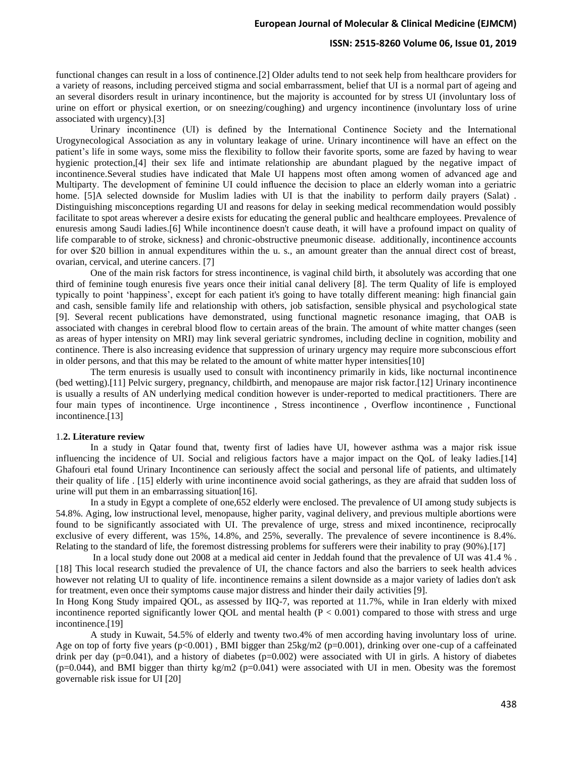## **ISSN: 2515-8260 Volume 06, Issue 01, 2019**

functional changes can result in a loss of continence.[2] Older adults tend to not seek help from healthcare providers for a variety of reasons, including perceived stigma and social embarrassment, belief that UI is a normal part of ageing and an several disorders result in urinary incontinence, but the majority is accounted for by stress UI (involuntary loss of urine on effort or physical exertion, or on sneezing/coughing) and urgency incontinence (involuntary loss of urine associated with urgency).[3]

Urinary incontinence (UI) is defined by the International Continence Society and the International Urogynecological Association as any in voluntary leakage of urine. Urinary incontinence will have an effect on the patient's life in some ways, some miss the flexibility to follow their favorite sports, some are fazed by having to wear hygienic protection,[4] their sex life and intimate relationship are abundant plagued by the negative impact of incontinence.Several studies have indicated that Male UI happens most often among women of advanced age and Multiparty. The development of feminine UI could influence the decision to place an elderly woman into a geriatric home. [5]A selected downside for Muslim ladies with UI is that the inability to perform daily prayers (Salat). Distinguishing misconceptions regarding UI and reasons for delay in seeking medical recommendation would possibly facilitate to spot areas wherever a desire exists for educating the general public and healthcare employees. Prevalence of enuresis among Saudi ladies.[6] While incontinence doesn't cause death, it will have a profound impact on quality of life comparable to of stroke, sickness} and chronic-obstructive pneumonic disease. additionally, incontinence accounts for over \$20 billion in annual expenditures within the u. s., an amount greater than the annual direct cost of breast, ovarian, cervical, and uterine cancers. [7]

One of the main risk factors for stress incontinence, is vaginal child birth, it absolutely was according that one third of feminine tough enuresis five years once their initial canal delivery [8]. The term Quality of life is employed typically to point 'happiness', except for each patient it's going to have totally different meaning: high financial gain and cash, sensible family life and relationship with others, job satisfaction, sensible physical and psychological state [9]. Several recent publications have demonstrated, using functional magnetic resonance imaging, that OAB is associated with changes in cerebral blood flow to certain areas of the brain. The amount of white matter changes (seen as areas of hyper intensity on MRI) may link several geriatric syndromes, including decline in cognition, mobility and continence. There is also increasing evidence that suppression of urinary urgency may require more subconscious effort in older persons, and that this may be related to the amount of white matter hyper intensities[10]

The term enuresis is usually used to consult with incontinency primarily in kids, like nocturnal incontinence (bed wetting).[11] Pelvic surgery, pregnancy, childbirth, and menopause are major risk factor.[12] Urinary incontinence is usually a results of AN underlying medical condition however is under-reported to medical practitioners. There are four main types of incontinence. Urge incontinence , Stress incontinence , Overflow incontinence , Functional incontinence.[13]

#### 1.**2. Literature review**

In a study in Qatar found that, twenty first of ladies have UI, however asthma was a major risk issue influencing the incidence of UI. Social and religious factors have a major impact on the QoL of leaky ladies.[14] Ghafouri etal found Urinary Incontinence can seriously affect the social and personal life of patients, and ultimately their quality of life . [15] elderly with urine incontinence avoid social gatherings, as they are afraid that sudden loss of urine will put them in an embarrassing situation[16].

In a study in Egypt a complete of one,652 elderly were enclosed. The prevalence of UI among study subjects is 54.8%. Aging, low instructional level, menopause, higher parity, vaginal delivery, and previous multiple abortions were found to be significantly associated with UI. The prevalence of urge, stress and mixed incontinence, reciprocally exclusive of every different, was 15%, 14.8%, and 25%, severally. The prevalence of severe incontinence is 8.4%. Relating to the standard of life, the foremost distressing problems for sufferers were their inability to pray (90%).[17]

In a local study done out 2008 at a medical aid center in Jeddah found that the prevalence of UI was 41.4 % . [18] This local research studied the prevalence of UI, the chance factors and also the barriers to seek health advices however not relating UI to quality of life. incontinence remains a silent downside as a major variety of ladies don't ask for treatment, even once their symptoms cause major distress and hinder their daily activities [9].

In Hong Kong Study impaired QOL, as assessed by IIQ-7, was reported at 11.7%, while in Iran elderly with mixed incontinence reported significantly lower QOL and mental health  $(P < 0.001)$  compared to those with stress and urge incontinence.[19]

A study in Kuwait, 54.5% of elderly and twenty two.4% of men according having involuntary loss of urine. Age on top of forty five years  $(p<0.001)$ , BMI bigger than  $25\text{kg/m2}$  ( $p=0.001$ ), drinking over one-cup of a caffeinated drink per day  $(p=0.041)$ , and a history of diabetes  $(p=0.002)$  were associated with UI in girls. A history of diabetes  $(p=0.044)$ , and BMI bigger than thirty kg/m2 ( $p=0.041$ ) were associated with UI in men. Obesity was the foremost governable risk issue for UI [20]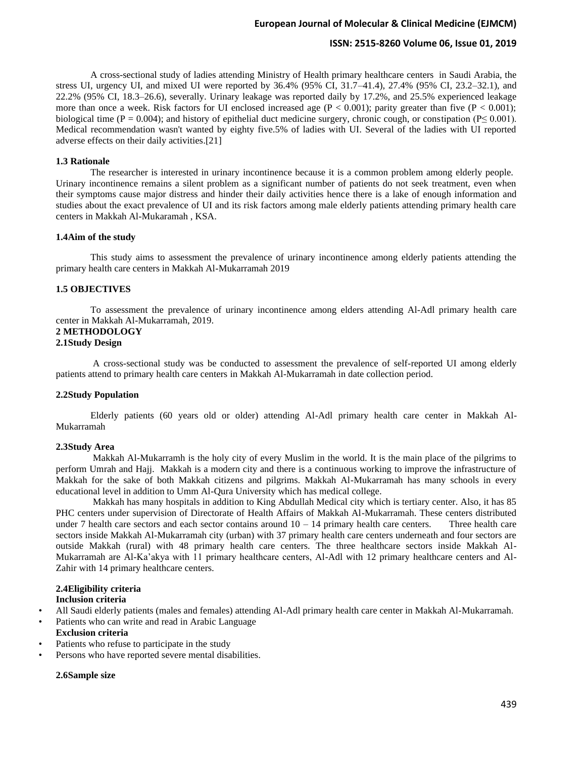## **ISSN: 2515-8260 Volume 06, Issue 01, 2019**

A cross-sectional study of ladies attending Ministry of Health primary healthcare centers in Saudi Arabia, the stress UI, urgency UI, and mixed UI were reported by 36.4% (95% CI, 31.7–41.4), 27.4% (95% CI, 23.2–32.1), and 22.2% (95% CI, 18.3–26.6), severally. Urinary leakage was reported daily by 17.2%, and 25.5% experienced leakage more than once a week. Risk factors for UI enclosed increased age  $(P < 0.001)$ ; parity greater than five  $(P < 0.001)$ ; biological time (P = 0.004); and history of epithelial duct medicine surgery, chronic cough, or constipation (P $\leq$  0.001). Medical recommendation wasn't wanted by eighty five.5% of ladies with UI. Several of the ladies with UI reported adverse effects on their daily activities.[21]

#### **1.3 Rationale**

The researcher is interested in urinary incontinence because it is a common problem among elderly people. Urinary incontinence remains a silent problem as a significant number of patients do not seek treatment, even when their symptoms cause major distress and hinder their daily activities hence there is a lake of enough information and studies about the exact prevalence of UI and its risk factors among male elderly patients attending primary health care centers in Makkah Al-Mukaramah , KSA.

#### **1.4Aim of the study**

This study aims to assessment the prevalence of urinary incontinence among elderly patients attending the primary health care centers in Makkah Al-Mukarramah 2019

## **1.5 OBJECTIVES**

To assessment the prevalence of urinary incontinence among elders attending Al-Adl primary health care center in Makkah Al-Mukarramah, 2019.

# **2 METHODOLOGY**

#### **2.1Study Design**

A cross-sectional study was be conducted to assessment the prevalence of self-reported UI among elderly patients attend to primary health care centers in Makkah Al-Mukarramah in date collection period.

### **2.2Study Population**

Elderly patients (60 years old or older) attending Al-Adl primary health care center in Makkah Al-Mukarramah

#### **2.3Study Area**

Makkah Al-Mukarramh is the holy city of every Muslim in the world. It is the main place of the pilgrims to perform Umrah and Hajj. Makkah is a modern city and there is a continuous working to improve the infrastructure of Makkah for the sake of both Makkah citizens and pilgrims. Makkah Al-Mukarramah has many schools in every educational level in addition to Umm Al-Qura University which has medical college.

Makkah has many hospitals in addition to King Abdullah Medical city which is tertiary center. Also, it has 85 PHC centers under supervision of Directorate of Health Affairs of Makkah Al-Mukarramah. These centers distributed under 7 health care sectors and each sector contains around  $10 - 14$  primary health care centers. Three health care sectors inside Makkah Al-Mukarramah city (urban) with 37 primary health care centers underneath and four sectors are outside Makkah (rural) with 48 primary health care centers. The three healthcare sectors inside Makkah Al-Mukarramah are Al-Ka'akya with 11 primary healthcare centers, Al-Adl with 12 primary healthcare centers and Al-Zahir with 14 primary healthcare centers.

# **2.4Eligibility criteria**

# **Inclusion criteria**

- All Saudi elderly patients (males and females) attending Al-Adl primary health care center in Makkah Al-Mukarramah .
- Patients who can write and read in Arabic Language

# **Exclusion criteria**

- Patients who refuse to participate in the study
- Persons who have reported severe mental disabilities.

## **2.6Sample size**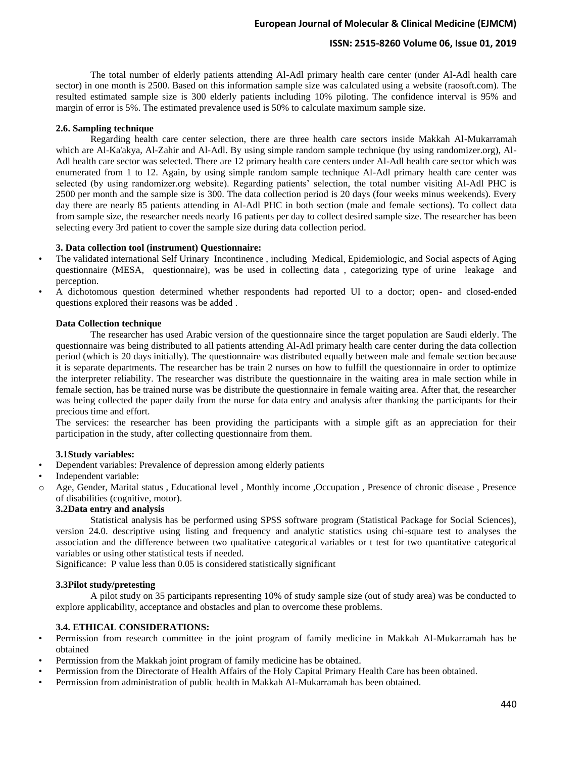# **ISSN: 2515-8260 Volume 06, Issue 01, 2019**

The total number of elderly patients attending Al-Adl primary health care center (under Al-Adl health care sector) in one month is 2500. Based on this information sample size was calculated using a website (raosoft.com). The resulted estimated sample size is 300 elderly patients including 10% piloting. The confidence interval is 95% and margin of error is 5%. The estimated prevalence used is 50% to calculate maximum sample size.

#### **2.6. Sampling technique**

Regarding health care center selection, there are three health care sectors inside Makkah Al-Mukarramah which are Al-Ka'akya, Al-Zahir and Al-Adl. By using simple random sample technique (by using randomizer.org), Al-Adl health care sector was selected. There are 12 primary health care centers under Al-Adl health care sector which was enumerated from 1 to 12. Again, by using simple random sample technique Al-Adl primary health care center was selected (by using randomizer.org website). Regarding patients' selection, the total number visiting Al-Adl PHC is 2500 per month and the sample size is 300. The data collection period is 20 days (four weeks minus weekends). Every day there are nearly 85 patients attending in Al-Adl PHC in both section (male and female sections). To collect data from sample size, the researcher needs nearly 16 patients per day to collect desired sample size. The researcher has been selecting every 3rd patient to cover the sample size during data collection period.

## **3. Data collection tool (instrument) Questionnaire:**

- The validated international Self Urinary Incontinence , including Medical, Epidemiologic, and Social aspects of Aging questionnaire (MESA, questionnaire), was be used in collecting data , categorizing type of urine leakage and perception.
- A dichotomous question determined whether respondents had reported UI to a doctor; open- and closed-ended questions explored their reasons was be added .

#### **Data Collection technique**

The researcher has used Arabic version of the questionnaire since the target population are Saudi elderly. The questionnaire was being distributed to all patients attending Al-Adl primary health care center during the data collection period (which is 20 days initially). The questionnaire was distributed equally between male and female section because it is separate departments. The researcher has be train 2 nurses on how to fulfill the questionnaire in order to optimize the interpreter reliability. The researcher was distribute the questionnaire in the waiting area in male section while in female section, has be trained nurse was be distribute the questionnaire in female waiting area. After that, the researcher was being collected the paper daily from the nurse for data entry and analysis after thanking the participants for their precious time and effort.

The services: the researcher has been providing the participants with a simple gift as an appreciation for their participation in the study, after collecting questionnaire from them.

#### **3.1Study variables:**

- Dependent variables: Prevalence of depression among elderly patients
- Independent variable:
- Age, Gender, Marital status , Educational level , Monthly income , Occupation , Presence of chronic disease , Presence of disabilities (cognitive, motor).

## **3.2Data entry and analysis**

Statistical analysis has be performed using SPSS software program (Statistical Package for Social Sciences), version 24.0. descriptive using listing and frequency and analytic statistics using chi-square test to analyses the association and the difference between two qualitative categorical variables or t test for two quantitative categorical variables or using other statistical tests if needed.

Significance: P value less than 0.05 is considered statistically significant

#### **3.3Pilot study/pretesting**

A pilot study on 35 participants representing 10% of study sample size (out of study area) was be conducted to explore applicability, acceptance and obstacles and plan to overcome these problems.

## **3.4. ETHICAL CONSIDERATIONS:**

- Permission from research committee in the joint program of family medicine in Makkah Al-Mukarramah has be obtained
- Permission from the Makkah joint program of family medicine has be obtained.
- Permission from the Directorate of Health Affairs of the Holy Capital Primary Health Care has been obtained.
- Permission from administration of public health in Makkah Al-Mukarramah has been obtained.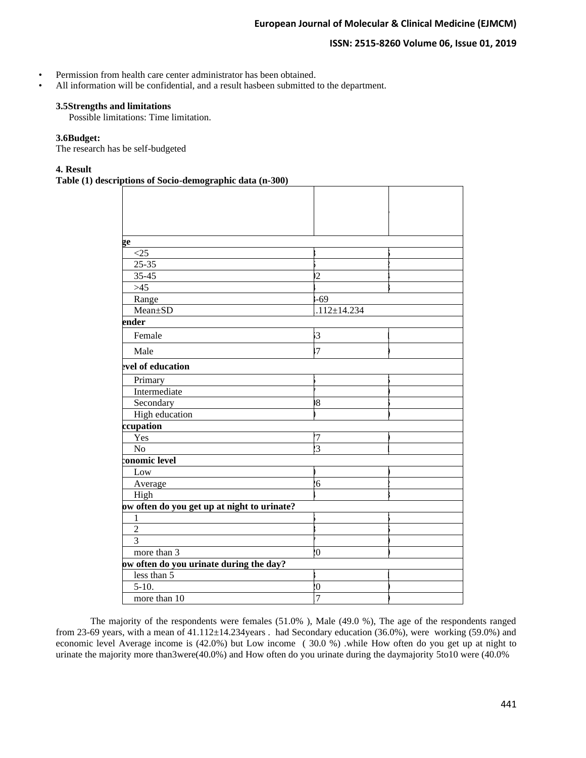## **ISSN: 2515-8260 Volume 06, Issue 01, 2019**

- Permission from health care center administrator has been obtained.
- All information will be confidential, and a result hasbeen submitted to the department.

## **3.5Strengths and limitations**

Possible limitations: Time limitation.

# **3.6Budget:**

The research has be self-budgeted

## **4. Result**

**Table (1) descriptions of Socio-demographic data (n-300)**

| ge                                          |                   |  |
|---------------------------------------------|-------------------|--|
| <25                                         |                   |  |
| $25 - 35$                                   |                   |  |
| $35 - 45$                                   | $\overline{2}$    |  |
| $>45$                                       |                   |  |
| Range                                       | $-69$             |  |
| Mean±SD                                     | $.112 \pm 14.234$ |  |
| ender                                       |                   |  |
| Female                                      | $\mathbf{3}$      |  |
| Male                                        | .7                |  |
| evel of education                           |                   |  |
| Primary                                     |                   |  |
| Intermediate                                |                   |  |
| Secondary                                   | 18                |  |
| High education                              |                   |  |
| ccupation                                   |                   |  |
| Yes                                         | 7                 |  |
| N <sub>o</sub>                              | $\overline{3}$    |  |
| conomic level                               |                   |  |
| Low                                         |                   |  |
| Average                                     | 6 <sup>1</sup>    |  |
| High                                        |                   |  |
| ow often do you get up at night to urinate? |                   |  |
| $\mathbf{1}$                                |                   |  |
| $\overline{2}$                              |                   |  |
| 3                                           |                   |  |
| more than 3                                 | $\overline{0}$    |  |
| ow often do you urinate during the day?     |                   |  |
| less than 5                                 |                   |  |
| $5-10.$                                     | $\boldsymbol{0}$  |  |
| more than 10                                | 7                 |  |

The majority of the respondents were females (51.0% ), Male (49.0 %), The age of the respondents ranged from 23-69 years, with a mean of 41.112±14.234years . had Secondary education (36.0%), were working (59.0%) and economic level Average income is (42.0%) but Low income ( 30.0 %) .while How often do you get up at night to urinate the majority more than3were(40.0%) and How often do you urinate during the daymajority 5to10 were (40.0%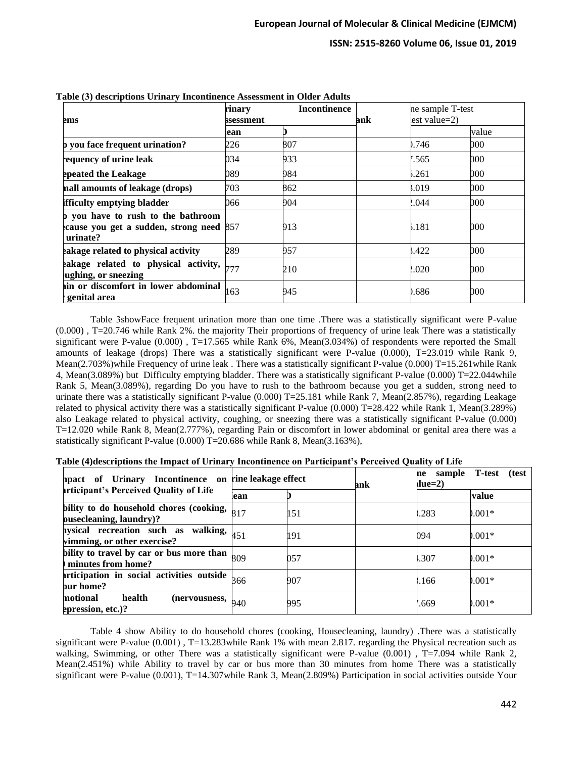# **ISSN: 2515-8260 Volume 06, Issue 01, 2019**

| ems                                                                                       | rinary<br>ssessment | <b>Incontinence</b> | ank | ne sample T-test<br>$est value=2$ |       |
|-------------------------------------------------------------------------------------------|---------------------|---------------------|-----|-----------------------------------|-------|
|                                                                                           | ean                 |                     |     |                                   | value |
| <b>b</b> you face frequent urination?                                                     | 226                 | 807                 |     | .746                              | 000   |
| equency of urine leak                                                                     | 034                 | 933                 |     | .565                              | 000   |
| epeated the Leakage                                                                       | 089                 | 984                 |     | .261                              | 000   |
| nall amounts of leakage (drops)                                                           | 703                 | 862                 |     | .019                              | 000   |
| ifficulty emptying bladder                                                                | 066                 | 904                 |     | .044                              | 000   |
| b you have to rush to the bathroom<br>cause you get a sudden, strong need 857<br>urinate? |                     | 913                 |     | .181                              | 000   |
| eakage related to physical activity                                                       | 289                 | 957                 |     | .422                              | 000   |
| eakage related to physical activity,<br>ughing, or sneezing                               | 777                 | 210                 |     | .020                              | 000   |
| in or discomfort in lower abdominal<br>genital area                                       | 163                 | 945                 |     | .686                              | 000   |

**Table (3) descriptions Urinary Incontinence Assessment in Older Adults**

Table 3showFace frequent urination more than one time .There was a statistically significant were P-value (0.000) , T=20.746 while Rank 2%. the majority Their proportions of frequency of urine leak There was a statistically significant were P-value (0.000) , T=17.565 while Rank 6%, Mean(3.034%) of respondents were reported the Small amounts of leakage (drops) There was a statistically significant were P-value (0.000), T=23.019 while Rank 9, Mean(2.703%)while Frequency of urine leak. There was a statistically significant P-value (0.000) T=15.261 while Rank 4, Mean(3.089%) but Difficulty emptying bladder. There was a statistically significant P-value (0.000) T=22.044while Rank 5, Mean(3.089%), regarding Do you have to rush to the bathroom because you get a sudden, strong need to urinate there was a statistically significant P-value (0.000) T=25.181 while Rank 7, Mean(2.857%), regarding Leakage related to physical activity there was a statistically significant P-value (0.000) T=28.422 while Rank 1, Mean(3.289%) also Leakage related to physical activity, coughing, or sneezing there was a statistically significant P-value (0.000) T=12.020 while Rank 8, Mean(2.777%), regarding Pain or discomfort in lower abdominal or genital area there was a statistically significant P-value (0.000) T=20.686 while Rank 8, Mean(3.163%),

|  | Table (4)descriptions the Impact of Urinary Incontinence on Participant's Perceived Quality of Life |  |  |
|--|-----------------------------------------------------------------------------------------------------|--|--|
|  |                                                                                                     |  |  |

| ppact of Urinary Incontinence on                                                    | rine leakage effect |     | ank | ne sample T-test<br>(test<br>llue=2) |              |  |
|-------------------------------------------------------------------------------------|---------------------|-----|-----|--------------------------------------|--------------|--|
| articipant's Perceived Quality of Life                                              | ean                 |     |     |                                      | <b>value</b> |  |
| bility to do household chores (cooking, $_{817}$ )<br>ousecleaning, laundry)?       |                     | 151 |     | .283                                 | $0.001*$     |  |
| <b>hysical recreation such as walking,</b> $ _{451}$<br>vimming, or other exercise? |                     | 191 |     | 094                                  | $0.001*$     |  |
| bility to travel by car or bus more than $_{809}$<br>minutes from home?             |                     | 057 |     | .307                                 | $0.001*$     |  |
| articipation in social activities outside $\frac{1}{666}$<br>our home?              |                     | 907 |     | ,166                                 | $0.001*$     |  |
| motional<br>health<br>(nervousness,<br>epression, etc.)?                            | 940                 | 995 |     | .669                                 | $0.001*$     |  |

Table 4 show Ability to do household chores (cooking, Housecleaning, laundry) .There was a statistically significant were P-value (0.001), T=13.283while Rank 1% with mean 2.817. regarding the Physical recreation such as walking, Swimming, or other There was a statistically significant were P-value (0.001), T=7.094 while Rank 2, Mean(2.451%) while Ability to travel by car or bus more than 30 minutes from home There was a statistically significant were P-value (0.001), T=14.307while Rank 3, Mean(2.809%) Participation in social activities outside Your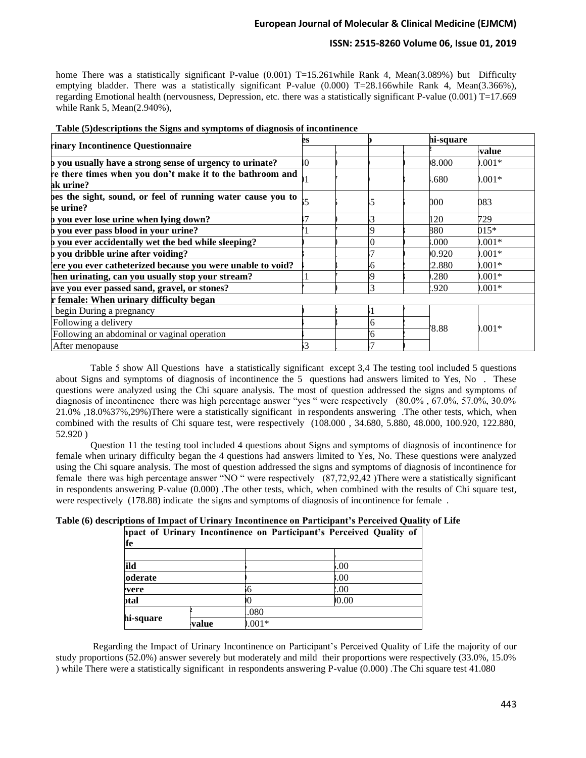# **ISSN: 2515-8260 Volume 06, Issue 01, 2019**

home There was a statistically significant P-value (0.001) T=15.261 while Rank 4, Mean(3.089%) but Difficulty emptying bladder. There was a statistically significant P-value (0.000) T=28.166while Rank 4, Mean(3.366%), regarding Emotional health (nervousness, Depression, etc. there was a statistically significant P-value (0.001) T=17.669 while Rank 5, Mean(2.940%),

|                                                                          | hi-square<br>es |          |        |          |
|--------------------------------------------------------------------------|-----------------|----------|--------|----------|
| rinary Incontinence Questionnaire                                        |                 |          |        | value    |
| b you usually have a strong sense of urgency to urinate?                 | Ю               |          | 000.80 | $0.001*$ |
| re there times when you don't make it to the bathroom and<br>ak urine?   |                 |          | .680   | $0.001*$ |
| bes the sight, sound, or feel of running water cause you to<br>se urine? |                 |          | 000    | 083      |
| b you ever lose urine when lying down?                                   |                 |          | 120    | 729      |
| b you ever pass blood in your urine?                                     |                 | ١Q       | 880    | $015*$   |
| b you ever accidentally wet the bed while sleeping?                      |                 | $\Omega$ | .000   | $0.001*$ |
| b you dribble urine after voiding?                                       |                 |          | 0.920  | $0.001*$ |
| ere you ever catheterized because you were unable to void?               |                 | -6       | !2.880 | $0.001*$ |
| hen urinating, can you usually stop your stream?                         |                 | 9)       | .280   | $0.001*$ |
| ave you ever passed sand, gravel, or stones?                             |                 | 3        | .920   | $0.001*$ |
| r female: When urinary difficulty began                                  |                 |          |        |          |
| begin During a pregnancy                                                 |                 |          |        |          |
| Following a delivery                                                     |                 | 6        | 8.88   |          |
| Following an abdominal or vaginal operation                              |                 | 6        |        | $0.001*$ |
| After menopause                                                          | 3               |          |        |          |

|  | Table (5) descriptions the Signs and symptoms of diagnosis of incontinence |
|--|----------------------------------------------------------------------------|
|  |                                                                            |

Table 5 show All Questions have a statistically significant except 3,4 The testing tool included 5 questions about Signs and symptoms of diagnosis of incontinence the 5 questions had answers limited to Yes, No . These questions were analyzed using the Chi square analysis. The most of question addressed the signs and symptoms of diagnosis of incontinence there was high percentage answer "yes " were respectively (80.0% , 67.0%, 57.0%, 30.0% 21.0% ,18.0%37%,29%)There were a statistically significant in respondents answering .The other tests, which, when combined with the results of Chi square test, were respectively (108.000 , 34.680, 5.880, 48.000, 100.920, 122.880, 52.920 )

Question 11 the testing tool included 4 questions about Signs and symptoms of diagnosis of incontinence for female when urinary difficulty began the 4 questions had answers limited to Yes, No. These questions were analyzed using the Chi square analysis. The most of question addressed the signs and symptoms of diagnosis of incontinence for female there was high percentage answer "NO " were respectively (87,72,92,42 )There were a statistically significant in respondents answering P-value (0.000) .The other tests, which, when combined with the results of Chi square test, were respectively (178.88) indicate the signs and symptoms of diagnosis of incontinence for female .

| Table (6) descriptions of Impact of Urinary Incontinence on Participant's Perceived Quality of Life |  |  |  |
|-----------------------------------------------------------------------------------------------------|--|--|--|
|                                                                                                     |  |  |  |

| ife       |       |        | ppact of Urinary Incontinence on Participant's Perceived Quality of |
|-----------|-------|--------|---------------------------------------------------------------------|
|           |       |        |                                                                     |
| ʻild      |       |        | 00.                                                                 |
| oderate   |       |        | 00.5                                                                |
| evere     |       |        | 00.9                                                                |
| otal      |       |        | 0.00                                                                |
|           |       | .080   |                                                                     |
| hi-square | value | $001*$ |                                                                     |

Regarding the Impact of Urinary Incontinence on Participant's Perceived Quality of Life the majority of our study proportions (52.0%) answer severely but moderately and mild their proportions were respectively (33.0%, 15.0% ) while There were a statistically significant in respondents answering P-value (0.000) .The Chi square test 41.080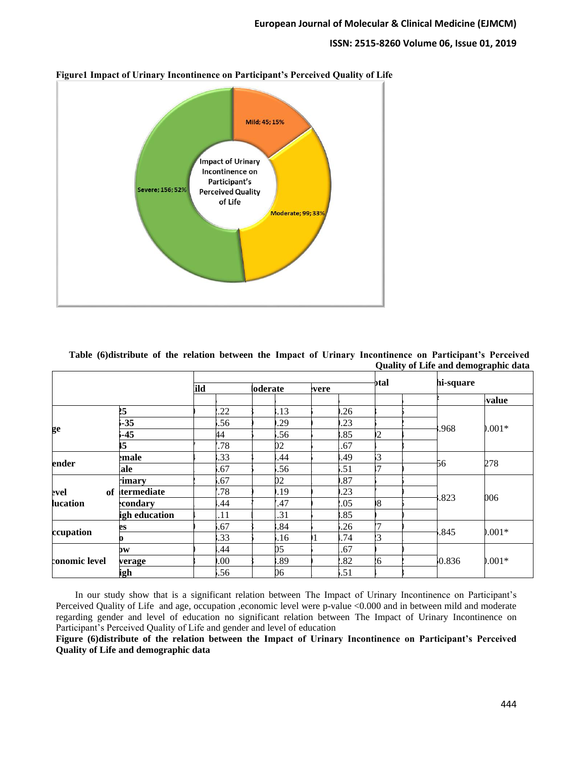## **ISSN: 2515-8260 Volume 06, Issue 01, 2019**



**Figure1 Impact of Urinary Incontinence on Participant's Perceived Quality of Life**

| Table (6) distribute of the relation between the Impact of Urinary Incontinence on Participant's Perceived |  |  |  |  |  |                                      |  |
|------------------------------------------------------------------------------------------------------------|--|--|--|--|--|--------------------------------------|--|
|                                                                                                            |  |  |  |  |  | Quality of Life and demographic data |  |

|               |               |      |             |       |     | otal           |       |           |  |
|---------------|---------------|------|-------------|-------|-----|----------------|-------|-----------|--|
|               |               | ild  | loderate    | evere |     |                |       | hi-square |  |
|               |               |      |             |       |     |                |       | value     |  |
|               | 25            | .22  | .13         |       | .26 |                |       |           |  |
|               | $-35$         | .56  | .29         |       | .23 |                |       |           |  |
| ge            | $-45$         | 44   | .56         |       | .85 | $\overline{2}$ | .968  | $0.001*$  |  |
|               | 15            | .78  | 02          |       | .67 |                |       |           |  |
|               | emale         | .33  | .44         |       | .49 | 3              |       |           |  |
| ender         | ale           | .67  | .56         |       | .51 | 17             | -56   | 278       |  |
|               | rimary        | .67  | $2^{\circ}$ |       | .87 |                |       | 006       |  |
| of<br>evel    | termediate    | .78  | .19         |       | .23 |                |       |           |  |
| lucation      | condary       | .44  | .47         |       | .05 | $\sqrt{8}$     | .823  |           |  |
|               | igh education | .11  | .31         |       | .85 |                |       |           |  |
|               | es            | .67  | .84         |       | .26 | 17             |       |           |  |
| ccupation     |               | .33  | .16         |       | .74 | $\overline{3}$ | .845  | $0.001*$  |  |
|               | $\mathbf{b}$  | .44  | $05\,$      |       | .67 |                |       | $0.001*$  |  |
| conomic level | verage        | .00. | .89         |       | .82 | 16             | 0.836 |           |  |
|               | igh           | .56  | 06          |       | .51 |                |       |           |  |

 In our study show that is a significant relation between The Impact of Urinary Incontinence on Participant's Perceived Quality of Life and age, occupation ,economic level were p-value <0.000 and in between mild and moderate regarding gender and level of education no significant relation between The Impact of Urinary Incontinence on Participant's Perceived Quality of Life and gender and level of education

**Figure (6)distribute of the relation between the Impact of Urinary Incontinence on Participant's Perceived Quality of Life and demographic data**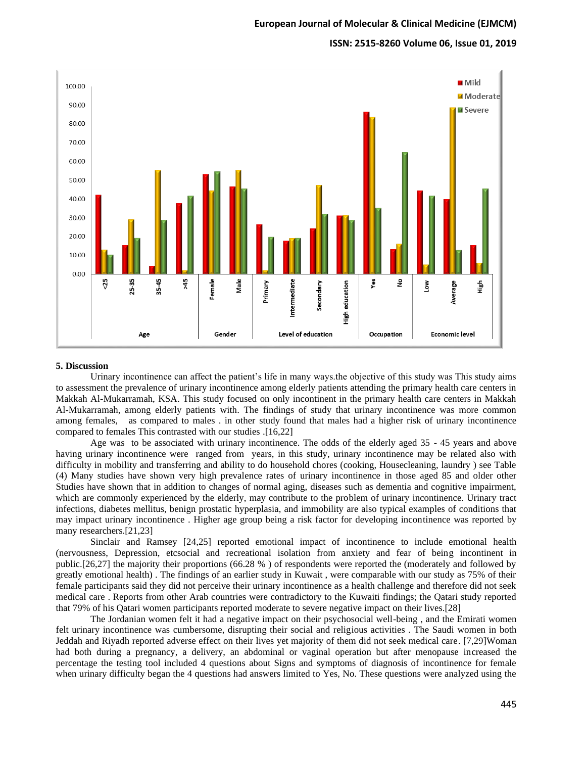#### **ISSN: 2515-8260 Volume 06, Issue 01, 2019**



#### **5. Discussion**

Urinary incontinence can affect the patient's life in many ways.the objective of this study was This study aims to assessment the prevalence of urinary incontinence among elderly patients attending the primary health care centers in Makkah Al-Mukarramah, KSA. This study focused on only incontinent in the primary health care centers in Makkah Al-Mukarramah, among elderly patients with. The findings of study that urinary incontinence was more common among females, as compared to males . in other study found that males had a higher risk of urinary incontinence compared to females This contrasted with our studies .[16,22]

Age was to be associated with urinary incontinence. The odds of the elderly aged 35 - 45 years and above having urinary incontinence were ranged from years, in this study, urinary incontinence may be related also with difficulty in mobility and transferring and ability to do household chores (cooking, Housecleaning, laundry ) see Table (4) Many studies have shown very high prevalence rates of urinary incontinence in those aged 85 and older other Studies have shown that in addition to changes of normal aging, diseases such as dementia and cognitive impairment, which are commonly experienced by the elderly, may contribute to the problem of urinary incontinence. Urinary tract infections, diabetes mellitus, benign prostatic hyperplasia, and immobility are also typical examples of conditions that may impact urinary incontinence . Higher age group being a risk factor for developing incontinence was reported by many researchers.[21,23]

Sinclair and Ramsey [24,25] reported emotional impact of incontinence to include emotional health (nervousness, Depression, etcsocial and recreational isolation from anxiety and fear of being incontinent in public.[26,27] the majority their proportions (66.28 % ) of respondents were reported the (moderately and followed by greatly emotional health) . The findings of an earlier study in Kuwait , were comparable with our study as 75% of their female participants said they did not perceive their urinary incontinence as a health challenge and therefore did not seek medical care . Reports from other Arab countries were contradictory to the Kuwaiti findings; the Qatari study reported that 79% of his Qatari women participants reported moderate to severe negative impact on their lives.[28]

The Jordanian women felt it had a negative impact on their psychosocial well-being , and the Emirati women felt urinary incontinence was cumbersome, disrupting their social and religious activities . The Saudi women in both Jeddah and Riyadh reported adverse effect on their lives yet majority of them did not seek medical care. [7,29]Woman had both during a pregnancy, a delivery, an abdominal or vaginal operation but after menopause increased the percentage the testing tool included 4 questions about Signs and symptoms of diagnosis of incontinence for female when urinary difficulty began the 4 questions had answers limited to Yes, No. These questions were analyzed using the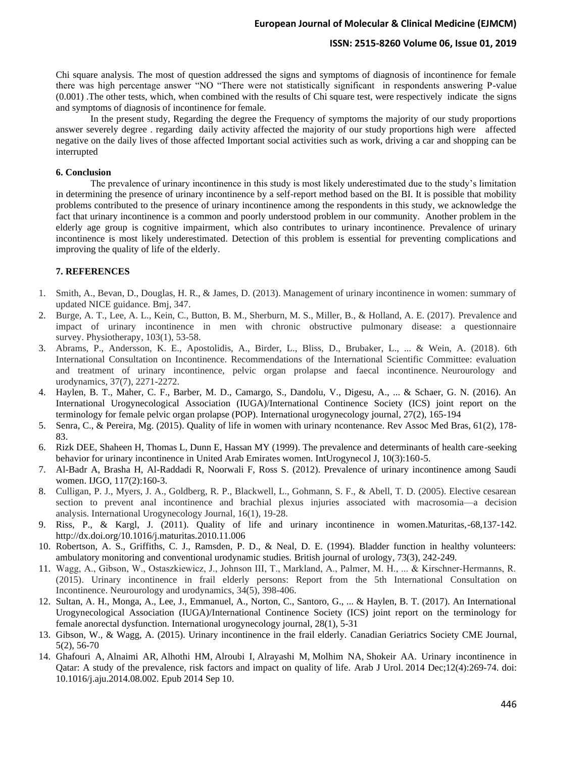## **ISSN: 2515-8260 Volume 06, Issue 01, 2019**

Chi square analysis. The most of question addressed the signs and symptoms of diagnosis of incontinence for female there was high percentage answer "NO "There were not statistically significant in respondents answering P-value (0.001) .The other tests, which, when combined with the results of Chi square test, were respectively indicate the signs and symptoms of diagnosis of incontinence for female.

In the present study, Regarding the degree the Frequency of symptoms the majority of our study proportions answer severely degree . regarding daily activity affected the majority of our study proportions high were affected negative on the daily lives of those affected Important social activities such as work, driving a car and shopping can be interrupted

## **6. Conclusion**

The prevalence of urinary incontinence in this study is most likely underestimated due to the study's limitation in determining the presence of urinary incontinence by a self-report method based on the BI. It is possible that mobility problems contributed to the presence of urinary incontinence among the respondents in this study, we acknowledge the fact that urinary incontinence is a common and poorly understood problem in our community. Another problem in the elderly age group is cognitive impairment, which also contributes to urinary incontinence. Prevalence of urinary incontinence is most likely underestimated. Detection of this problem is essential for preventing complications and improving the quality of life of the elderly.

#### **7. REFERENCES**

- 1. Smith, A., Bevan, D., Douglas, H. R., & James, D. (2013). Management of urinary incontinence in women: summary of updated NICE guidance. Bmj, 347.
- 2. Burge, A. T., Lee, A. L., Kein, C., Button, B. M., Sherburn, M. S., Miller, B., & Holland, A. E. (2017). Prevalence and impact of urinary incontinence in men with chronic obstructive pulmonary disease: a questionnaire survey. Physiotherapy, 103(1), 53-58.
- 3. Abrams, P., Andersson, K. E., Apostolidis, A., Birder, L., Bliss, D., Brubaker, L., ... & Wein, A. (2018). 6th International Consultation on Incontinence. Recommendations of the International Scientific Committee: evaluation and treatment of urinary incontinence, pelvic organ prolapse and faecal incontinence. Neurourology and urodynamics, 37(7), 2271-2272.
- 4. Haylen, B. T., Maher, C. F., Barber, M. D., Camargo, S., Dandolu, V., Digesu, A., ... & Schaer, G. N. (2016). An International Urogynecological Association (IUGA)/International Continence Society (ICS) joint report on the terminology for female pelvic organ prolapse (POP). International urogynecology journal, 27(2), 165-194
- 5. Senra, C., & Pereira, Mg. (2015). Quality of life in women with urinary ncontenance. Rev Assoc Med Bras, 61(2), 178- 83.
- 6. Rizk DEE, Shaheen H, Thomas L, Dunn E, Hassan MY (1999). The prevalence and determinants of health care-seeking behavior for urinary incontinence in United Arab Emirates women. IntUrogynecol J, 10(3):160-5.
- 7. Al-Badr A, Brasha H, Al-Raddadi R, Noorwali F, Ross S. (2012). Prevalence of urinary incontinence among Saudi women. IJGO, 117(2):160-3.
- 8. Culligan, P. J., Myers, J. A., Goldberg, R. P., Blackwell, L., Gohmann, S. F., & Abell, T. D. (2005). Elective cesarean section to prevent anal incontinence and brachial plexus injuries associated with macrosomia—a decision analysis. International Urogynecology Journal, 16(1), 19-28.
- 9. Riss, P., & Kargl, J. (2011). Quality of life and urinary incontinence in women.Maturitas,-68,137-142. <http://dx.doi.org/10.1016/j.maturitas.2010.11.006>
- 10. Robertson, A. S., Griffiths, C. J., Ramsden, P. D., & Neal, D. E. (1994). Bladder function in healthy volunteers: ambulatory monitoring and conventional urodynamic studies. British journal of urology, 73(3), 242-249.
- 11. Wagg, A., Gibson, W., Ostaszkiewicz, J., Johnson III, T., Markland, A., Palmer, M. H., ... & Kirschner‐Hermanns, R. (2015). Urinary incontinence in frail elderly persons: Report from the 5th International Consultation on Incontinence. Neurourology and urodynamics, 34(5), 398-406.
- 12. Sultan, A. H., Monga, A., Lee, J., Emmanuel, A., Norton, C., Santoro, G., ... & Haylen, B. T. (2017). An International Urogynecological Association (IUGA)/International Continence Society (ICS) joint report on the terminology for female anorectal dysfunction. International urogynecology journal, 28(1), 5-31
- 13. Gibson, W., & Wagg, A. (2015). Urinary incontinence in the frail elderly. Canadian Geriatrics Society CME Journal, 5(2), 56-70
- 14. [Ghafouri A,](https://www.ncbi.nlm.nih.gov/pubmed/?term=Ghafouri%20A%5BAuthor%5D&cauthor=true&cauthor_uid=26019961) [Alnaimi AR,](https://www.ncbi.nlm.nih.gov/pubmed/?term=Alnaimi%20AR%5BAuthor%5D&cauthor=true&cauthor_uid=26019961) [Alhothi HM,](https://www.ncbi.nlm.nih.gov/pubmed/?term=Alhothi%20HM%5BAuthor%5D&cauthor=true&cauthor_uid=26019961) [Alroubi I,](https://www.ncbi.nlm.nih.gov/pubmed/?term=Alroubi%20I%5BAuthor%5D&cauthor=true&cauthor_uid=26019961) [Alrayashi M,](https://www.ncbi.nlm.nih.gov/pubmed/?term=Alrayashi%20M%5BAuthor%5D&cauthor=true&cauthor_uid=26019961) [Molhim NA,](https://www.ncbi.nlm.nih.gov/pubmed/?term=Molhim%20NA%5BAuthor%5D&cauthor=true&cauthor_uid=26019961) [Shokeir AA.](https://www.ncbi.nlm.nih.gov/pubmed/?term=Shokeir%20AA%5BAuthor%5D&cauthor=true&cauthor_uid=26019961) Urinary incontinence in Qatar: A study of the prevalence, risk factors and impact on quality of life. [Arab J](https://www.ncbi.nlm.nih.gov/pubmed/26019961) Urol. 2014 Dec;12(4):269-74. doi: 10.1016/j.aju.2014.08.002. Epub 2014 Sep 10.